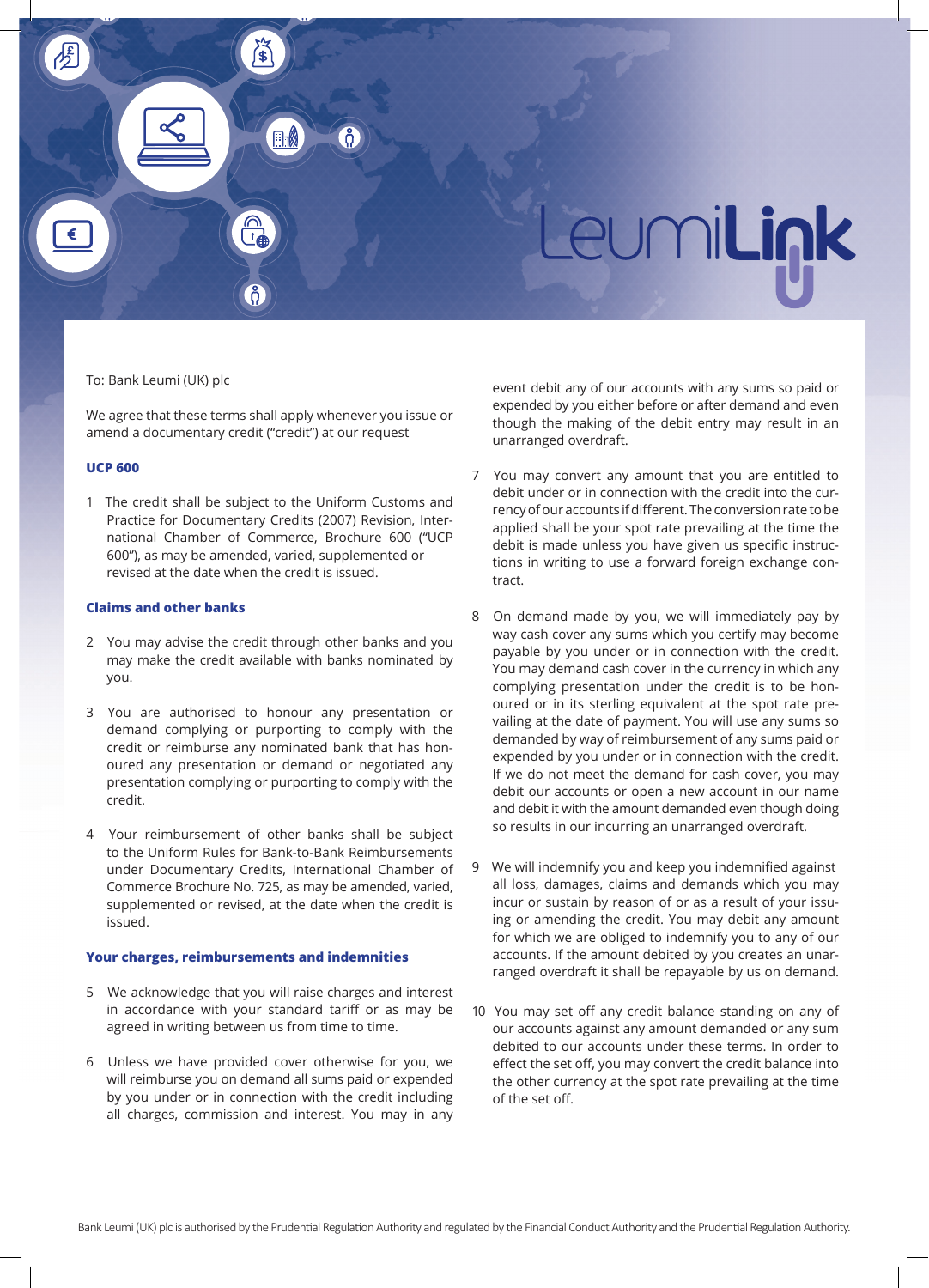

# To: Bank Leumi (UK) plc

We agree that these terms shall apply whenever you issue or amend a documentary credit ("credit") at our request

#### **UCP 600**

1 The credit shall be subject to the Uniform Customs and Practice for Documentary Credits (2007) Revision, International Chamber of Commerce, Brochure 600 ("UCP 600"), as may be amended, varied, supplemented or revised at the date when the credit is issued.

# **Claims and other banks**

- 2 You may advise the credit through other banks and you may make the credit available with banks nominated by you.
- 3 You are authorised to honour any presentation or demand complying or purporting to comply with the credit or reimburse any nominated bank that has honoured any presentation or demand or negotiated any presentation complying or purporting to comply with the credit.
- 4 Your reimbursement of other banks shall be subject to the Uniform Rules for Bank-to-Bank Reimbursements under Documentary Credits, International Chamber of Commerce Brochure No. 725, as may be amended, varied, supplemented or revised, at the date when the credit is issued.

# **Your charges, reimbursements and indemnities**

- 5 We acknowledge that you will raise charges and interest in accordance with your standard tariff or as may be agreed in writing between us from time to time.
- 6 Unless we have provided cover otherwise for you, we will reimburse you on demand all sums paid or expended by you under or in connection with the credit including all charges, commission and interest. You may in any

event debit any of our accounts with any sums so paid or expended by you either before or after demand and even though the making of the debit entry may result in an unarranged overdraft.

- 7 You may convert any amount that you are entitled to debit under or in connection with the credit into the currency of our accounts if different. The conversion rate to be applied shall be your spot rate prevailing at the time the debit is made unless you have given us specific instructions in writing to use a forward foreign exchange contract.
- 8 On demand made by you, we will immediately pay by way cash cover any sums which you certify may become payable by you under or in connection with the credit. You may demand cash cover in the currency in which any complying presentation under the credit is to be honoured or in its sterling equivalent at the spot rate prevailing at the date of payment. You will use any sums so demanded by way of reimbursement of any sums paid or expended by you under or in connection with the credit. If we do not meet the demand for cash cover, you may debit our accounts or open a new account in our name and debit it with the amount demanded even though doing so results in our incurring an unarranged overdraft.
- 9 We will indemnify you and keep you indemnified against all loss, damages, claims and demands which you may incur or sustain by reason of or as a result of your issuing or amending the credit. You may debit any amount for which we are obliged to indemnify you to any of our accounts. If the amount debited by you creates an unarranged overdraft it shall be repayable by us on demand.
- 10 You may set off any credit balance standing on any of our accounts against any amount demanded or any sum debited to our accounts under these terms. In order to effect the set off, you may convert the credit balance into the other currency at the spot rate prevailing at the time of the set off.